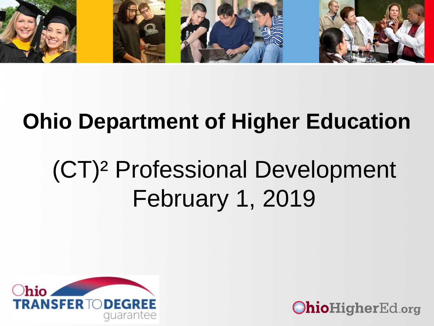

### **Ohio Department of Higher Education**

# (CT)² Professional Development February 1, 2019



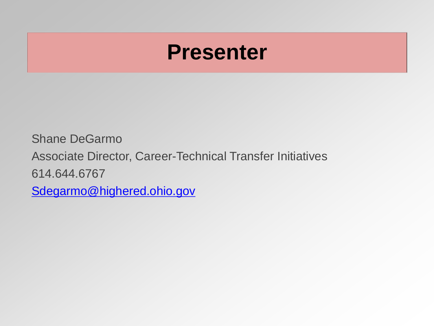### **Presenter**

Shane DeGarmo Associate Director, Career-Technical Transfer Initiatives 614.644.6767 [Sdegarmo@highered.ohio.gov](mailto:Sdegarmo@highered.ohio.gov)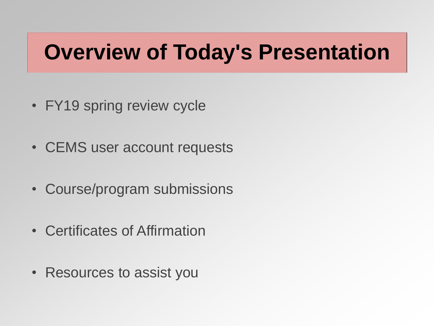## **Overview of Today's Presentation**

- FY19 spring review cycle
- CEMS user account requests
- Course/program submissions
- Certificates of Affirmation
- Resources to assist you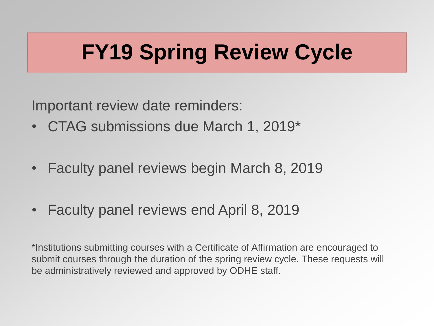# **FY19 Spring Review Cycle**

Important review date reminders:

- CTAG submissions due March 1, 2019\*
- Faculty panel reviews begin March 8, 2019
- Faculty panel reviews end April 8, 2019

\*Institutions submitting courses with a Certificate of Affirmation are encouraged to submit courses through the duration of the spring review cycle. These requests will be administratively reviewed and approved by ODHE staff.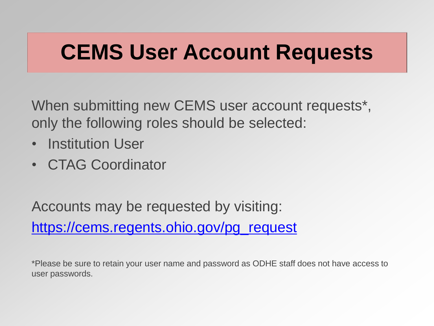### **CEMS User Account Requests**

When submitting new CEMS user account requests\*, only the following roles should be selected:

- Institution User
- CTAG Coordinator

Accounts may be requested by visiting: [https://cems.regents.ohio.gov/pg\\_request](https://cems.regents.ohio.gov/pg_request)

\*Please be sure to retain your user name and password as ODHE staff does not have access to user passwords.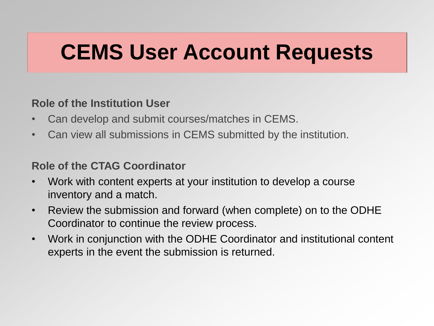## **CEMS User Account Requests**

### **Role of the Institution User**

- Can develop and submit courses/matches in CEMS.
- Can view all submissions in CEMS submitted by the institution.

### **Role of the CTAG Coordinator**

- Work with content experts at your institution to develop a course inventory and a match.
- Review the submission and forward (when complete) on to the ODHE Coordinator to continue the review process.
- Work in conjunction with the ODHE Coordinator and institutional content experts in the event the submission is returned.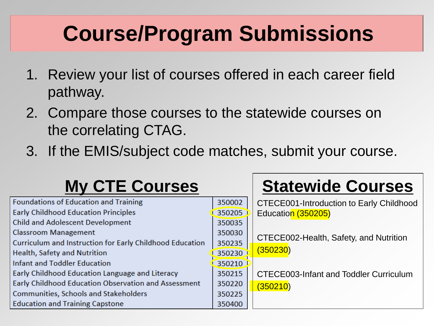# **Course/Program Submissions**

- 1. Review your list of courses offered in each career field pathway.
- 2. Compare those courses to the statewide courses on the correlating CTAG.
- 3. If the EMIS/subject code matches, submit your course.

### **My CTE Courses Statewide Courses**

| <b>Foundations of Education and Training</b>             | 350002 | CTECE001-Introduction to Early Childhood |
|----------------------------------------------------------|--------|------------------------------------------|
| <b>Early Childhood Education Principles</b>              | 350205 | Education (350205)                       |
| <b>Child and Adolescent Development</b>                  | 350035 |                                          |
| <b>Classroom Management</b>                              | 350030 | CTECE002-Health, Safety, and Nutrition   |
| Curriculum and Instruction for Early Childhood Education | 350235 |                                          |
| <b>Health, Safety and Nutrition</b>                      | 350230 | (350230)                                 |
| <b>Infant and Toddler Education</b>                      | 350210 |                                          |
| Early Childhood Education Language and Literacy          | 350215 | CTECE003-Infant and Toddler Curriculum   |
| Early Childhood Education Observation and Assessment     | 350220 | (350210)                                 |
| <b>Communities, Schools and Stakeholders</b>             | 350225 |                                          |
| <b>Education and Training Capstone</b>                   | 350400 |                                          |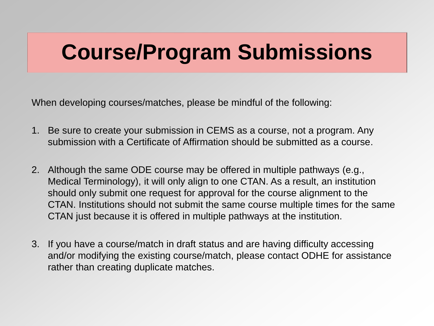## **Course/Program Submissions**

When developing courses/matches, please be mindful of the following:

- 1. Be sure to create your submission in CEMS as a course, not a program. Any submission with a Certificate of Affirmation should be submitted as a course.
- 2. Although the same ODE course may be offered in multiple pathways (e.g., Medical Terminology), it will only align to one CTAN. As a result, an institution should only submit one request for approval for the course alignment to the CTAN. Institutions should not submit the same course multiple times for the same CTAN just because it is offered in multiple pathways at the institution.
- 3. If you have a course/match in draft status and are having difficulty accessing and/or modifying the existing course/match, please contact ODHE for assistance rather than creating duplicate matches.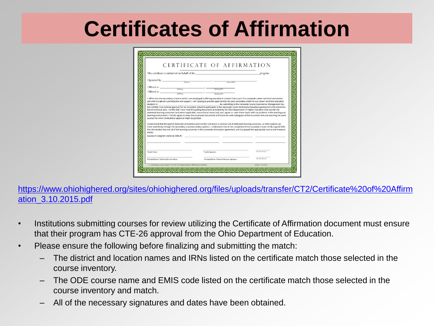### **Certificates of Affirmation**

|                                                                                                                                                                                                                                                                                                                                                                                                                                                                                        |                                                                                                                                                                                                                                                                                                                                                                     | This certificate is submitted on behalf of the                                                                                                                                                                                                                                                                                                                                                                                                                                                                                                                                                                                                                                                                                                                      | program                                                             |
|----------------------------------------------------------------------------------------------------------------------------------------------------------------------------------------------------------------------------------------------------------------------------------------------------------------------------------------------------------------------------------------------------------------------------------------------------------------------------------------|---------------------------------------------------------------------------------------------------------------------------------------------------------------------------------------------------------------------------------------------------------------------------------------------------------------------------------------------------------------------|---------------------------------------------------------------------------------------------------------------------------------------------------------------------------------------------------------------------------------------------------------------------------------------------------------------------------------------------------------------------------------------------------------------------------------------------------------------------------------------------------------------------------------------------------------------------------------------------------------------------------------------------------------------------------------------------------------------------------------------------------------------------|---------------------------------------------------------------------|
|                                                                                                                                                                                                                                                                                                                                                                                                                                                                                        |                                                                                                                                                                                                                                                                                                                                                                     | $\text{Operated by}\xrightarrow{\hspace{0.5cm}} \dots \xrightarrow{\hspace{0.5cm}} \dots \xrightarrow{\hspace{0.5cm}} \dots \xrightarrow{\hspace{0.5cm}}$<br>(District BIN)                                                                                                                                                                                                                                                                                                                                                                                                                                                                                                                                                                                         |                                                                     |
|                                                                                                                                                                                                                                                                                                                                                                                                                                                                                        |                                                                                                                                                                                                                                                                                                                                                                     |                                                                                                                                                                                                                                                                                                                                                                                                                                                                                                                                                                                                                                                                                                                                                                     |                                                                     |
|                                                                                                                                                                                                                                                                                                                                                                                                                                                                                        | $\begin{picture}(20,10) \put(0,0){\vector(1,0){100}} \put(15,0){\vector(1,0){100}} \put(15,0){\vector(1,0){100}} \put(15,0){\vector(1,0){100}} \put(15,0){\vector(1,0){100}} \put(15,0){\vector(1,0){100}} \put(15,0){\vector(1,0){100}} \put(15,0){\vector(1,0){100}} \put(15,0){\vector(1,0){100}} \put(15,0){\vector(1,0){100}} \put(15,0){\vector(1,0){100}} \$ | (Building IRN)                                                                                                                                                                                                                                                                                                                                                                                                                                                                                                                                                                                                                                                                                                                                                      |                                                                     |
| $\begin{tabular}{c}  \end{tabular} \begin{tabular}{c} \multicolumn{3}{c}{} \multicolumn{3}{c}{} \multicolumn{3}{c}{} \multicolumn{3}{c}{} \multicolumn{3}{c}{} \multicolumn{3}{c}{} \multicolumn{3}{c}{} \multicolumn{3}{c}{} \multicolumn{3}{c}{} \multicolumn{3}{c}{} \multicolumn{3}{c}{} \multicolumn{3}{c}{} \multicolumn{3}{c}{} \multicolumn{3}{c}{} \multicolumn{3}{c}{} \multicolumn{3}{c}{} \multicolumn{3}{c}{} \multicolumn{3}{c}{} \multicolumn{3}{c}{} \multicolumn{3}{$ |                                                                                                                                                                                                                                                                                                                                                                     | (Building IRN)                                                                                                                                                                                                                                                                                                                                                                                                                                                                                                                                                                                                                                                                                                                                                      |                                                                     |
| students in                                                                                                                                                                                                                                                                                                                                                                                                                                                                            |                                                                                                                                                                                                                                                                                                                                                                     | and with my school's participation and support, I am helping to provide opportunities for post-secondary credit for our career-technical education<br>tem (CEMS), I am seeking approval for my secondary school to participate in the statewide career-technical articulation agreement in the aforemen-<br>tioned technical area. I certify that I have read the guiding documents provided by the Ohio Department of Higher Education that provide the<br>statewide learning outcomes (and where applicable, instructional resources), and I agree to cover these topics with my students in the teaching and<br>learning environment. I further agree to share the associated documents and materials with colleagues within my school who are teaching the same | . By submitting to the statewide Course Equivalency Management Sys- |
| ments.<br>Courses In program (name & EMIS #):                                                                                                                                                                                                                                                                                                                                                                                                                                          | courses for which institutional approval might be granted.                                                                                                                                                                                                                                                                                                          | I understand that the goal of statewide articulation and transfer is to teach a common set of statewide learning outcomes, so that students can<br>move seamlessly through the secondary to postsecondary systems. I understand that at the completion of my course(s), I must certify in good faith,<br>that the student has met all of the learning outcomes in the statewide articulation agreement, and has passed the appropriate course and measure-<br><u> de la componenta de la capacidad de la componenta de la componenta de la componenta de la componenta de la compo</u>                                                                                                                                                                              |                                                                     |
| <b>Teacher Name</b>                                                                                                                                                                                                                                                                                                                                                                                                                                                                    |                                                                                                                                                                                                                                                                                                                                                                     | <b>Teacher Signature</b>                                                                                                                                                                                                                                                                                                                                                                                                                                                                                                                                                                                                                                                                                                                                            | Day (wa/dd/yrry)                                                    |

[https://www.ohiohighered.org/sites/ohiohighered.org/files/uploads/transfer/CT2/Certificate%20of%20Affirm](https://www.ohiohighered.org/sites/ohiohighered.org/files/uploads/transfer/CT2/Certificate of Affirmation_3.10.2015.pdf) ation\_3.10.2015.pdf

- Institutions submitting courses for review utilizing the Certificate of Affirmation document must ensure that their program has CTE-26 approval from the Ohio Department of Education.
- Please ensure the following before finalizing and submitting the match:
	- The district and location names and IRNs listed on the certificate match those selected in the course inventory.
	- The ODE course name and EMIS code listed on the certificate match those selected in the course inventory and match.
	- All of the necessary signatures and dates have been obtained.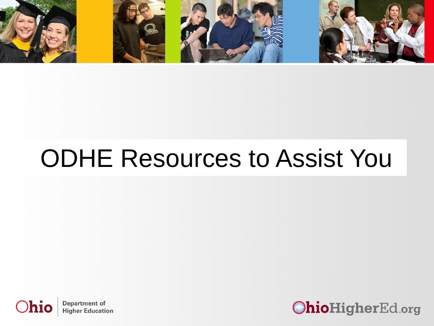

# ODHE Resources to Assist You



**Department of Higher Education** 

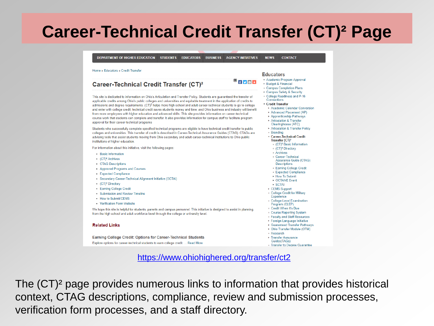### **Career-Technical Credit Transfer (CT)² Page**

DEPARTMENT OF HIGHER EDUCATION STUDENTS EDUCATORS BUSINESS AGENCY INITIATIVES **CONTACT NEWS** 

#### Home » Educators » Credit Transfer

#### Career-Technical Credit Transfer (CT)<sup>2</sup>

This site is dedicated to information on Ohio's Articulation and Transfer Policy. Students are quaranteed the transfer of applicable credits among Ohio's public colleges and universities and equitable treatment in the application of credits to admissions and degree requirements. (CT)<sup>2</sup> helps more high school and adult career-technical students to go to college and enter with college credit; technical credit saves students money and time; and Ohio business and industry will benefit from more employees with higher education and advanced skills. This site provides information on career-technical course work that students can complete and transfer. It also provides information for campus staff to facilitate program approval for their career-technical programs

Students who successfully complete specified technical programs are eligible to have technical credit transfer to public colleges and universities. This transfer of credit is described in Career-Technical Assurance Guides (CTAG). CTAGs are advising tools that assist students moving from Ohio secondary and adult career-technical institutions to Ohio public institutions of higher education.

For information about this initiative, visit the following pages:

- Basic Information
- $\bullet$  (CT)<sup>2</sup> Archives
- CTAG Descriptions
- Approved Programs and Courses
- Expected Compliance
- · Secondary Career-Technical Alignment Initiative (SCTAI)
- (CT)<sup>2</sup> Directory
- · Earning College Credit
- Submission and Review Timeline
- How to Submit/CEMS
- Verification Form Website

We hope this site is helpful for students, parents and campus personnel. This initiative is designed to assist in planning, from the high school and adult workforce level through the college or university level.

#### **Related Links**

**Earning College Credit: Options for Career-Technical Students** Explore options for career-technical students to earn college credit. ... Read More

#### **Educators**

▄▏┎▏<mark>∀</mark>▐▅▌∔

- Academic Program Approval
- Budget & Financial
- Campus Completion Plans ► Campus Safety & Security
- . College Readiness and P-16
- Connections **v** Cradit Transfar
- ▶ Academic Calendar Conversion
- Advanced Placement (AP)
- ▶ Apprenticeship Pathways
- Articulation & Transfer
- Clearinghouse (ATC)
- Articulation & Transfer Policy
- e Branding
- ▼ Career-Technical Credit Transfer (CT)<sup>2</sup>
- (CT)<sup>2</sup> Basic Information
- (CT)<sup>2</sup> Directory
- · Archives
- · Career-Technical Assurance Guide (CTAG)
- **Descriptions**
- **Earning College Credit** ○ Expected Compliance
- ▶ How To Submit
- ▶ OCTANE Event
- $\triangleright$  SCTAI
- ► CEMS Support
- · College Credit for Military
- Experience **College-Level Examination**
- Program (CLEP)
- Credit When It's Due
- · Course Reporting System
- Faculty and Staff Resources
- ▶ Foreign Language Initiative
- ▶ Guaranteed Transfer Pathways
- Ohio Transfer Module (OTM)
- · Research
- ▶ Transfer Assurance Guides(TAGs)
- · Transfer to Degree Guarantee

<https://www.ohiohighered.org/transfer/ct2>

The (CT)² page provides numerous links to information that provides historical context, CTAG descriptions, compliance, review and submission processes, verification form processes, and a staff directory.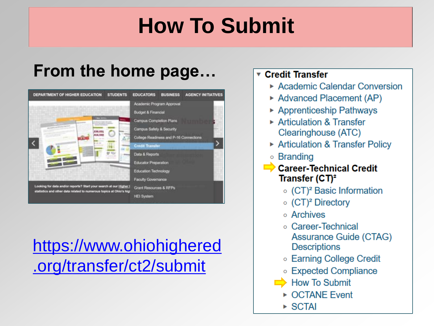# **How To Submit**

### **From the home page…**



### https://www.ohiohighered [.org/transfer/ct2/submit](https://www.ohiohighered.org/transfer/ct2/submit)

### ▼ Credit Transfer

- Academic Calendar Conversion
- ► Advanced Placement (AP)
- ▶ Apprenticeship Pathways
- $\triangleright$  Articulation & Transfer Clearinghouse (ATC)
- Articulation & Transfer Policy
- Branding
	- **Career-Technical Credit** Transfer  $(CT)^2$ 
		- $\circ$  (CT)<sup>2</sup> Basic Information
		- $\circ$  (CT)<sup>2</sup> Directory
		- o Archives
		- Career-Technical Assurance Guide (CTAG) **Descriptions**
		- Earning College Credit
		- Expected Compliance
		- $\rightarrow$  How To Submit
		- ▶ OCTANE Event
		- $\triangleright$  SCTAI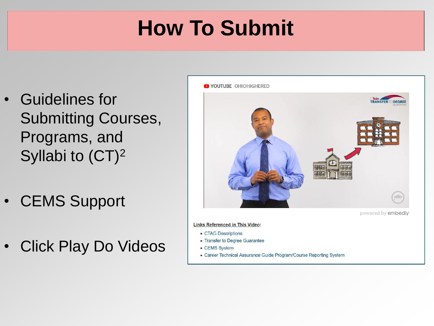# **How To Submit**

- Guidelines for Submitting Courses, Programs, and Syllabi to (CT)<sup>2</sup>
- CEMS Support
- Click Play Do Videos



**Links Referenced in This Video:** 

- CTAG Descriptions
- Transfer to Degree Guarantee
- CEMS System
- Career Technical Assurance Guide Program/Course Reporting System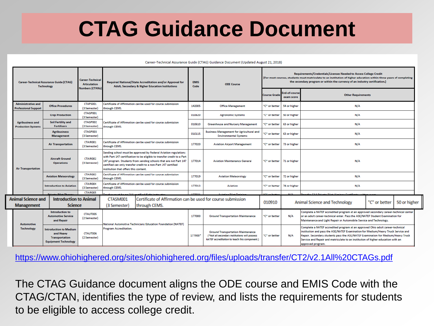### **CTAG Guidance Document**

#### Career-Technical Assurance Guide (CTAG) Guidance Document (Updated August 21, 2018)

| <b>Career-Technical Assurance Guide (CTAG)</b><br><b>Technology</b> |                                                          | <b>Career-Technical</b><br><b>Articulation</b><br><b>Numbers (CTANs)</b>                           | Required National/State Accreditation and/or Approval for<br><b>Adult, Secondary &amp; Higher Education Institutions</b> |                                                                                                                                                                                                                                                                                                                           | <b>EMIS</b><br>Code                                                           | <b>ODE Course</b>                                                               | Requirements/Credentials/Licenses Needed to Access College Credit<br>(For most courses, students must matriculate to an institution of higher education within three years of completing<br>the secondary program or within the currency of an industry certification.) |                            |                            |                                                                                                                                                                                                                                                                                                                                                                  |  |              |
|---------------------------------------------------------------------|----------------------------------------------------------|----------------------------------------------------------------------------------------------------|--------------------------------------------------------------------------------------------------------------------------|---------------------------------------------------------------------------------------------------------------------------------------------------------------------------------------------------------------------------------------------------------------------------------------------------------------------------|-------------------------------------------------------------------------------|---------------------------------------------------------------------------------|-------------------------------------------------------------------------------------------------------------------------------------------------------------------------------------------------------------------------------------------------------------------------|----------------------------|----------------------------|------------------------------------------------------------------------------------------------------------------------------------------------------------------------------------------------------------------------------------------------------------------------------------------------------------------------------------------------------------------|--|--------------|
|                                                                     |                                                          |                                                                                                    |                                                                                                                          |                                                                                                                                                                                                                                                                                                                           |                                                                               |                                                                                 | <b>Course Grade</b>                                                                                                                                                                                                                                                     | nd-of-course<br>exam score | <b>Other Requirements</b>  |                                                                                                                                                                                                                                                                                                                                                                  |  |              |
|                                                                     | <b>Administrative and</b><br><b>Professional Support</b> | <b>Office Procedures</b>                                                                           | CTAPS001<br>(3 Semester)                                                                                                 | Certificate of Affirmation can be used for course submission<br>through CEMS.                                                                                                                                                                                                                                             |                                                                               |                                                                                 | <b>Office Management</b>                                                                                                                                                                                                                                                | "C" or better              | 54 or higher               | N/A                                                                                                                                                                                                                                                                                                                                                              |  |              |
|                                                                     |                                                          | <b>Crop Production</b>                                                                             | CTAGP001<br>(3 Semester)                                                                                                 |                                                                                                                                                                                                                                                                                                                           |                                                                               |                                                                                 | <b>Agronomic Systems</b>                                                                                                                                                                                                                                                | "C" or better              | 50 or higher               | N/A                                                                                                                                                                                                                                                                                                                                                              |  |              |
| <b>Agribusiness and</b>                                             | <b>Production Systems</b>                                | <b>Soil Fertility and</b><br><b>Fertilizers</b>                                                    | CTAGP002<br>(3 Semester)                                                                                                 | through CEMS.                                                                                                                                                                                                                                                                                                             | Certificate of Affirmation can be used for course submission                  | 010610                                                                          | <b>Greenhouse and Nursery Management</b>                                                                                                                                                                                                                                | "C" or better              | 63 or higher               | N/A                                                                                                                                                                                                                                                                                                                                                              |  |              |
|                                                                     |                                                          | CTAGP003<br><b>Agribusiness</b><br><b>Management</b><br>(3 Semester)                               |                                                                                                                          |                                                                                                                                                                                                                                                                                                                           | 010115                                                                        | <b>Business Management for Agricultural and</b><br><b>Environmental Systems</b> | "C" or better                                                                                                                                                                                                                                                           | 63 or higher               | N/A                        |                                                                                                                                                                                                                                                                                                                                                                  |  |              |
|                                                                     |                                                          | <b>Air Transportation</b>                                                                          | CTAIR001<br>(3 Semester)                                                                                                 | Certificate of Affirmation can be used for course submission<br>through CEMS.                                                                                                                                                                                                                                             |                                                                               | 177020                                                                          | <b>Aviation Airport Management</b>                                                                                                                                                                                                                                      | "C" or better              | 73 or higher               | N/A                                                                                                                                                                                                                                                                                                                                                              |  |              |
|                                                                     | <b>Air Transportation</b>                                | <b>Aircraft Ground</b><br><b>Operations</b>                                                        | CTAIR002<br>(3 Semester)                                                                                                 | Sending school must be approved by Federal Aviation regulations<br>with Part 147 certification to be eligible to transfer credit to a Part<br>147 program. Students from sending schools that are not Part 147<br>certified can only transfer credit to a non-Part 147 certified<br>institution that offers this content. |                                                                               | 177014                                                                          | <b>Aviation Maintenance General</b>                                                                                                                                                                                                                                     |                            | "C" or better 71 or higher | N/A                                                                                                                                                                                                                                                                                                                                                              |  |              |
|                                                                     |                                                          | <b>Aviation Meteorology</b>                                                                        | CTAIR003<br>(3 Semester)                                                                                                 | Certificate of Affirmation can be used for course submission<br>through CEMS.<br>Certificate of Affirmation can be used for course submission<br>through CEMS.                                                                                                                                                            |                                                                               | 177019                                                                          | <b>Aviation Meteorology</b>                                                                                                                                                                                                                                             | "C" or better              | 72 or higher               | N/A                                                                                                                                                                                                                                                                                                                                                              |  |              |
|                                                                     |                                                          | <b>Introduction to Aviation</b>                                                                    | CTAIR004<br>(3 Semester)                                                                                                 |                                                                                                                                                                                                                                                                                                                           |                                                                               | 177013                                                                          | Aviation                                                                                                                                                                                                                                                                | "C" or better              | 74 or higher               | N/A                                                                                                                                                                                                                                                                                                                                                              |  |              |
|                                                                     |                                                          | the Dilet The                                                                                      | <b>CTAIRO05</b>                                                                                                          |                                                                                                                                                                                                                                                                                                                           | the an EAA contified flight instruct                                          | 177001                                                                          | vistion <b>Dilot Tesin</b>                                                                                                                                                                                                                                              | <b>SCRAPHON</b>            | <b>MIA</b>                 | o FAA Drivato Pilot, Airolano Contifica                                                                                                                                                                                                                                                                                                                          |  |              |
|                                                                     | Animal Science and<br><b>Management</b>                  | <b>Introduction to Animal</b><br><b>Science</b>                                                    |                                                                                                                          | CTASM001<br>(3 Semester)                                                                                                                                                                                                                                                                                                  | Certificate of Affirmation can be used for course submission<br>through CEMS. |                                                                                 |                                                                                                                                                                                                                                                                         | 010910                     |                            | "C" or better<br><b>Animal Science and Technology</b>                                                                                                                                                                                                                                                                                                            |  | 50 or higher |
|                                                                     |                                                          | <b>Introduction to</b><br><b>Automotive Service</b><br>and Repair                                  | <b>CTAUTO05</b><br>(2 Semester)                                                                                          |                                                                                                                                                                                                                                                                                                                           |                                                                               | 177000                                                                          | <b>Ground Transportation Maintenance</b>                                                                                                                                                                                                                                | "C" or better              | N/A                        | Complete a NATEF accredited program at an approved secondary career-technical center<br>or an adult career-technical enter. Pass the ASE/NATEF Student Examination for<br>Maintenance and Light Repair or Automobile Service and Technology.                                                                                                                     |  |              |
|                                                                     | <b>Automotive</b><br><b>Technology</b>                   | <b>Introduction to Medium</b><br>and Heavy<br><b>Transportation</b><br><b>Equipment Technology</b> | <b>CTAUT006</b><br>(2 Semester)                                                                                          | National Automotive Technicians Education Foundation (NATEF)<br><b>Program Accreditation.</b>                                                                                                                                                                                                                             |                                                                               | 177000*                                                                         | <b>Ground Transportation Maintenance</b><br>(*Not all secondary institutions will possess<br>NATEF accreditation to teach this component.)                                                                                                                              | "C" or better              | N/A                        | Complete a NATEF accredited program at an approved Ohio adult career-technical<br>institution and pass the ASE/NATEF Examination for Medium/Heavy Truck Service and<br>Repair. Secondary students pass the ASE/NATEF Examination for Medium/Heavy Truck<br>Service and Repair and matriculate to an institution of higher education with an<br>approved program. |  |              |

[https://www.ohiohighered.org/sites/ohiohighered.org/files/uploads/transfer/CT2/v2.1All%20CTAGs.pdf](https://www.ohiohighered.org/sites/ohiohighered.org/files/uploads/transfer/CT2/v2.1All CTAGs.pdf)

The CTAG Guidance document aligns the ODE course and EMIS Code with the CTAG/CTAN, identifies the type of review, and lists the requirements for students to be eligible to access college credit.